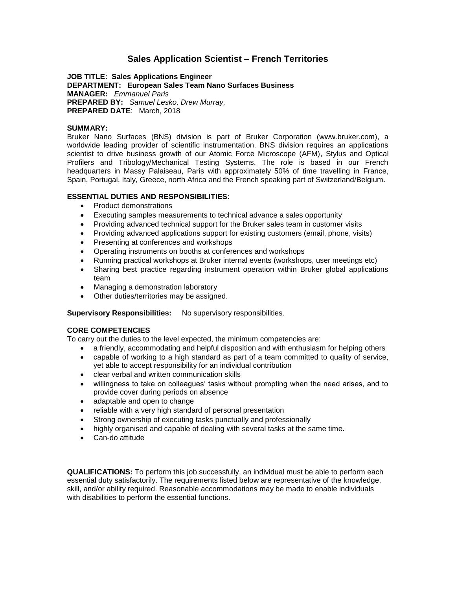# **Sales Application Scientist – French Territories**

**JOB TITLE: Sales Applications Engineer DEPARTMENT: European Sales Team Nano Surfaces Business MANAGER:** *Emmanuel Paris* **PREPARED BY:** *Samuel Lesko, Drew Murray,*  **PREPARED DATE**: March, 2018

### **SUMMARY:**

Bruker Nano Surfaces (BNS) division is part of Bruker Corporation (www.bruker.com), a worldwide leading provider of scientific instrumentation. BNS division requires an applications scientist to drive business growth of our Atomic Force Microscope (AFM), Stylus and Optical Profilers and Tribology/Mechanical Testing Systems. The role is based in our French headquarters in Massy Palaiseau, Paris with approximately 50% of time travelling in France, Spain, Portugal, Italy, Greece, north Africa and the French speaking part of Switzerland/Belgium.

### **ESSENTIAL DUTIES AND RESPONSIBILITIES:**

- Product demonstrations
- Executing samples measurements to technical advance a sales opportunity
- Providing advanced technical support for the Bruker sales team in customer visits
- Providing advanced applications support for existing customers (email, phone, visits)
- Presenting at conferences and workshops
- Operating instruments on booths at conferences and workshops
- Running practical workshops at Bruker internal events (workshops, user meetings etc)
- Sharing best practice regarding instrument operation within Bruker global applications team
- Managing a demonstration laboratory
- Other duties/territories may be assigned.

**Supervisory Responsibilities:** No supervisory responsibilities.

# **CORE COMPETENCIES**

To carry out the duties to the level expected, the minimum competencies are:

- a friendly, accommodating and helpful disposition and with enthusiasm for helping others
- capable of working to a high standard as part of a team committed to quality of service, yet able to accept responsibility for an individual contribution
- clear verbal and written communication skills
- willingness to take on colleagues' tasks without prompting when the need arises, and to provide cover during periods on absence
- adaptable and open to change
- reliable with a very high standard of personal presentation
- Strong ownership of executing tasks punctually and professionally
- highly organised and capable of dealing with several tasks at the same time.
- Can-do attitude

**QUALIFICATIONS:** To perform this job successfully, an individual must be able to perform each essential duty satisfactorily. The requirements listed below are representative of the knowledge, skill, and/or ability required. Reasonable accommodations may be made to enable individuals with disabilities to perform the essential functions.